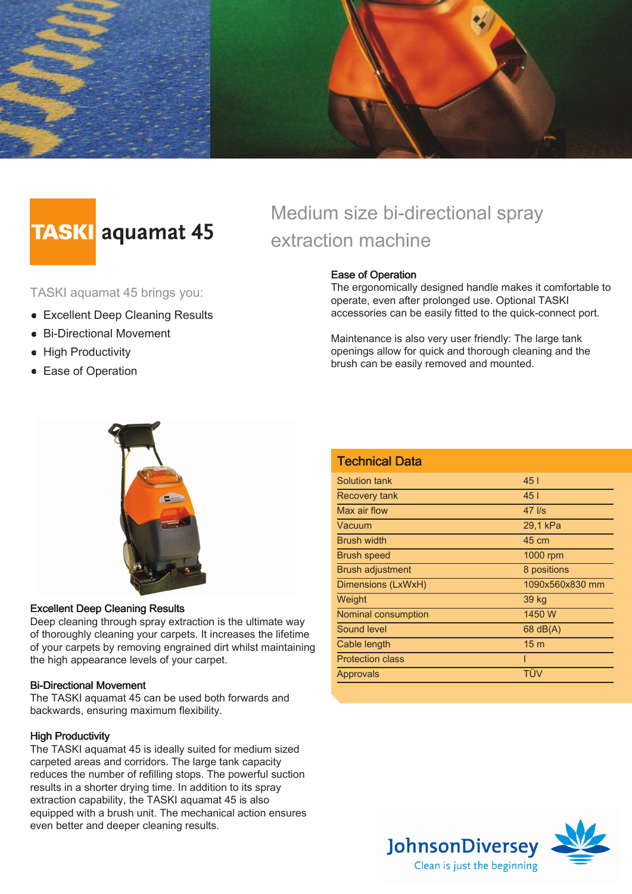

# **TASKI** aquamat 45

TASKI aquamat 45 brings you:

- Excellent Deep Cleaning Results
- Bi-Directional Movement
- High Productivity
- **Ease of Operation**

## Medium size bi-directional spray extraction machine

#### Ease of Operation

The ergonomically designed handle makes it comfortable to operate, even after prolonged use. Optional TASKI accessories can be easily fitted to the quick-connect port.

Maintenance is also very user friendly: The large tank openings allow for quick and thorough cleaning and the brush can be easily removed and mounted.



#### Excellent Deep Cleaning Results

Deep cleaning through spray extraction is the ultimate way of thoroughly cleaning your carpets. It increases the lifetime of your carpets by removing engrained dirt whilst maintaining the high appearance levels of your carpet.

#### Bi-Directional Movement

The TASKI aquamat 45 can be used both forwards and backwards, ensuring maximum flexibility.

#### **High Productivity**

The TASKI aquamat 45 is ideally suited for medium sized carpeted areas and corridors. The large tank capacity reduces the number of refilling stops. The powerful suction results in a shorter drying time. In addition to its spray extraction capability, the TASKI aquamat 45 is also equipped with a brush unit. The mechanical action ensures even better and deeper cleaning results.

| <b>Technical Data</b>   |                   |
|-------------------------|-------------------|
| Solution tank           | 451               |
| Recovery tank           | 451               |
| Max air flow            | $47$ $\text{I/s}$ |
| Vacuum                  | 29,1 kPa          |
| <b>Brush width</b>      | 45 cm             |
| <b>Brush speed</b>      | 1000 rpm          |
| <b>Brush adjustment</b> | 8 positions       |
| Dimensions (LxWxH)      | 1090x560x830 mm   |
| Weight                  | 39 kg             |
| Nominal consumption     | 1450 W            |
| Sound level             | $68$ dB(A)        |
| Cable length            | 15 <sub>m</sub>   |
| <b>Protection class</b> |                   |
| Approvals               | TÜV               |
|                         |                   |